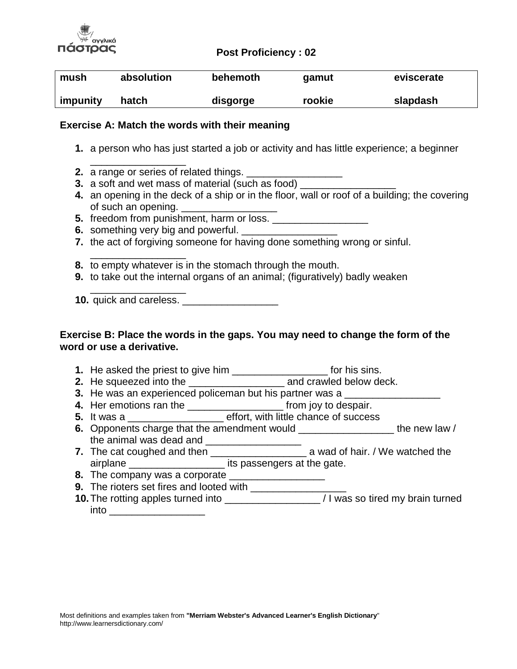

#### **Post Proficiency : 02**

| mush     | absolution | behemoth | gamut  | eviscerate |
|----------|------------|----------|--------|------------|
| impunity | hatch      | disgorge | rookie | slapdash   |

#### **Exercise A: Match the words with their meaning**

- **1.** a person who has just started a job or activity and has little experience; a beginner
- **2.** a range or series of related things.

\_\_\_\_\_\_\_\_\_\_\_\_\_\_\_\_\_

- **3.** a soft and wet mass of material (such as food)
- **4.** an opening in the deck of a ship or in the floor, wall or roof of a building; the covering of such an opening.
- **5.** freedom from punishment, harm or loss.
- **6.** something very big and powerful.
- **7.** the act of forgiving someone for having done something wrong or sinful.
- \_\_\_\_\_\_\_\_\_\_\_\_\_\_\_\_\_ **8.** to empty whatever is in the stomach through the mouth.
- **9.** to take out the internal organs of an animal; (figuratively) badly weaken

**10.** quick and careless. \_\_\_\_\_\_\_\_\_\_\_\_\_\_\_\_\_

\_\_\_\_\_\_\_\_\_\_\_\_\_\_\_\_\_

## **Exercise B: Place the words in the gaps. You may need to change the form of the word or use a derivative.**

- **1.** He asked the priest to give him \_\_\_\_\_\_\_\_\_\_\_\_\_\_\_\_\_ for his sins.
- **2.** He squeezed into the **2. and crawled below deck.**
- **3.** He was an experienced policeman but his partner was a
- **4.** Her emotions ran the \_\_\_\_\_\_\_\_\_\_\_\_\_\_\_\_\_ from joy to despair.
- **5.** It was a **Exercise E** befort, with little chance of success
- **6.** Opponents charge that the amendment would \_\_\_\_\_\_\_\_\_\_\_\_\_\_\_\_\_\_\_\_ the new law / the animal was dead and  $\frac{1}{2}$
- **7.** The cat coughed and then \_\_\_\_\_\_\_\_\_\_\_\_\_\_\_\_\_\_\_\_\_\_\_\_ a wad of hair. / We watched the airplane \_\_\_\_\_\_\_\_\_\_\_\_\_\_\_\_\_ its passengers at the gate.
- **8.** The company was a corporate
- **9.** The rioters set fires and looted with \_\_\_\_\_\_\_\_\_\_\_\_\_
- **10.**The rotting apples turned into \_\_\_\_\_\_\_\_\_\_\_\_\_\_\_\_\_ / I was so tired my brain turned into \_\_\_\_\_\_\_\_\_\_\_\_\_\_\_\_\_